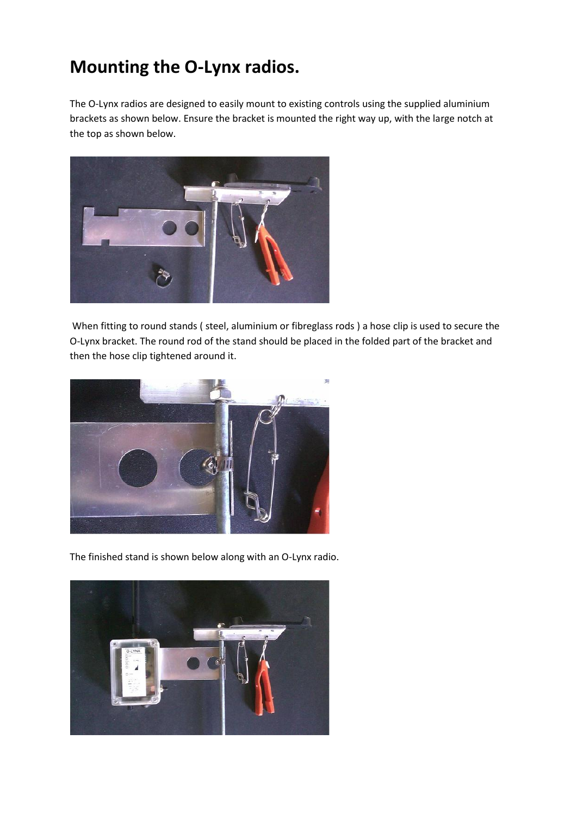## **Mounting the O-Lynx radios.**

The O-Lynx radios are designed to easily mount to existing controls using the supplied aluminium brackets as shown below. Ensure the bracket is mounted the right way up, with the large notch at the top as shown below.



When fitting to round stands ( steel, aluminium or fibreglass rods ) a hose clip is used to secure the O-Lynx bracket. The round rod of the stand should be placed in the folded part of the bracket and then the hose clip tightened around it.



The finished stand is shown below along with an O-Lynx radio.